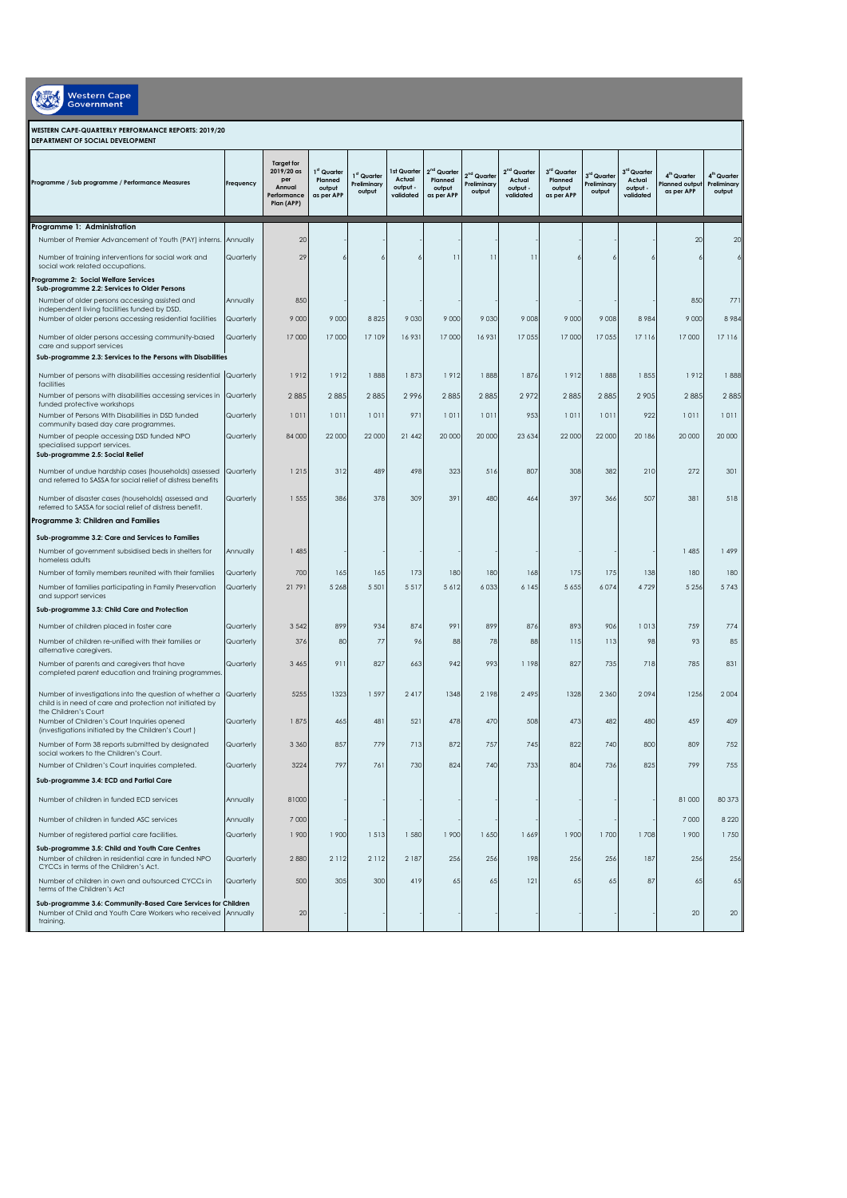| Western Cap |
|-------------|
|             |

## **WESTERN CAPE-QUARTERLY PERFORMANCE REPORTS: 2019/20**

| DEPARTMENT OF SOCIAL DEVELOPMENT                                                                                                           |           |                                                                               |                                               |                                      |                                              |                                                            |                                                  |                                                            |                                                            |                                                 |                                                            |                                                        |                                                  |
|--------------------------------------------------------------------------------------------------------------------------------------------|-----------|-------------------------------------------------------------------------------|-----------------------------------------------|--------------------------------------|----------------------------------------------|------------------------------------------------------------|--------------------------------------------------|------------------------------------------------------------|------------------------------------------------------------|-------------------------------------------------|------------------------------------------------------------|--------------------------------------------------------|--------------------------------------------------|
| Programme / Sub programme / Performance Measures                                                                                           | Frequency | <b>Target for</b><br>2019/20 as<br>per<br>Annual<br>Performance<br>Plan (APP) | 1ª Quarter<br>Planned<br>output<br>as per APP | 1st Quarter<br>Preliminary<br>output | 1st Quarter<br>Actual<br>output<br>validated | 2 <sup>nd</sup> Quarter<br>Planned<br>output<br>as per APP | 2 <sup>nd</sup> Quarter<br>Preliminary<br>output | 2 <sup>nd</sup> Quarter<br>Actual<br>output -<br>validated | 3 <sup>rd</sup> Quarter<br>Planned<br>output<br>as per APP | 3 <sup>rd</sup> Quarter<br>reliminary<br>output | 3 <sup>rd</sup> Quarter<br>Actual<br>output -<br>validated | 4 <sup>th</sup> Quarter<br>lanned output<br>as per APP | 4 <sup>th</sup> Quarter<br>Preliminary<br>output |
| Programme 1: Administration                                                                                                                |           |                                                                               |                                               |                                      |                                              |                                                            |                                                  |                                                            |                                                            |                                                 |                                                            |                                                        |                                                  |
| Number of Premier Advancement of Youth (PAY) interns.                                                                                      | Annually  | 20                                                                            |                                               |                                      |                                              |                                                            |                                                  |                                                            |                                                            |                                                 |                                                            | 20                                                     | 20                                               |
| Number of training interventions for social work and<br>social work related occupations.                                                   | Quarterly | 29                                                                            |                                               |                                      | 6                                            | 11                                                         | $\mathbf{1}$                                     | $\overline{11}$                                            | 6                                                          |                                                 |                                                            |                                                        |                                                  |
| Programme 2: Social Welfare Services                                                                                                       |           |                                                                               |                                               |                                      |                                              |                                                            |                                                  |                                                            |                                                            |                                                 |                                                            |                                                        |                                                  |
| Sub-programme 2.2: Services to Older Persons<br>Number of older persons accessing assisted and                                             | Annually  | 850                                                                           |                                               |                                      |                                              |                                                            |                                                  |                                                            |                                                            |                                                 |                                                            | 850                                                    | 771                                              |
| independent living facilities funded by DSD.                                                                                               |           |                                                                               |                                               |                                      |                                              |                                                            |                                                  |                                                            |                                                            |                                                 |                                                            |                                                        |                                                  |
| Number of older persons accessing residential facilities                                                                                   | Quarterly | 9 0 0 0                                                                       | 9 0 0 0                                       | 8825                                 | 9 0 3 0                                      | 9 0 0 0                                                    | 9 0 3 0                                          | 9 0 0 8                                                    | 9 0 0 0                                                    | 9 0 0 8                                         | 8 9 8 4                                                    | 9 0 0 0                                                | 8984                                             |
| Number of older persons accessing community-based<br>care and support services                                                             | Quarterly | 17000                                                                         | 17000                                         | 17 109                               | 16931                                        | 17 000                                                     | 16931                                            | 17055                                                      | 17 000                                                     | 17055                                           | 17 116                                                     | 17 000                                                 | 17 116                                           |
| Sub-programme 2.3: Services to the Persons with Disabilities                                                                               |           |                                                                               |                                               |                                      |                                              |                                                            |                                                  |                                                            |                                                            |                                                 |                                                            |                                                        |                                                  |
| Number of persons with disabilities accessing residential                                                                                  | Quarterly | 1912                                                                          | 1912                                          | 1888                                 | 1873                                         | 1912                                                       | 1888                                             | 1876                                                       | 1912                                                       | 1888                                            | 1855                                                       | 1912                                                   | 1888                                             |
| facilities                                                                                                                                 |           |                                                                               |                                               |                                      |                                              |                                                            |                                                  |                                                            |                                                            |                                                 |                                                            |                                                        |                                                  |
| Number of persons with disabilities accessing services in<br>funded protective workshops                                                   | Quarterly | 2885                                                                          | 2885                                          | 2885                                 | 2996                                         | 2885                                                       | 2885                                             | 2972                                                       | 2885                                                       | 2885                                            | 2905                                                       | 2885                                                   | 2885                                             |
| Number of Persons With Disabilities in DSD funded                                                                                          | Quarterly | 1011                                                                          | 1011                                          | 1011                                 | 971                                          | 1011                                                       | 1011                                             | 953                                                        | 1011                                                       | 1011                                            | 922                                                        | 1011                                                   | 1011                                             |
| community based day care programmes.                                                                                                       |           |                                                                               | 22 000                                        | 22 000                               |                                              | 20 000                                                     | 20 000                                           |                                                            | 22 000                                                     |                                                 |                                                            |                                                        |                                                  |
| Number of people accessing DSD funded NPO<br>specialised support services.<br>Sub-programme 2.5: Social Relief                             | Quarterly | 84 000                                                                        |                                               |                                      | 21 442                                       |                                                            |                                                  | 23 6 34                                                    |                                                            | 22 000                                          | 20 186                                                     | 20 000                                                 | 20 000                                           |
| Number of undue hardship cases (households) assessed<br>and referred to SASSA for social relief of distress benefits                       | Quarterly | 1215                                                                          | 312                                           | 489                                  | 498                                          | 323                                                        | 516                                              | 807                                                        | 308                                                        | 382                                             | 210                                                        | 272                                                    | 301                                              |
| Number of disaster cases (households) assessed and<br>referred to SASSA for social relief of distress benefit.                             | Quarterly | 1555                                                                          | 386                                           | 378                                  | 309                                          | 391                                                        | 48C                                              | 464                                                        | 397                                                        | 366                                             | 507                                                        | 381                                                    | 518                                              |
| Programme 3: Children and Families                                                                                                         |           |                                                                               |                                               |                                      |                                              |                                                            |                                                  |                                                            |                                                            |                                                 |                                                            |                                                        |                                                  |
| Sub-programme 3.2: Care and Services to Families                                                                                           |           |                                                                               |                                               |                                      |                                              |                                                            |                                                  |                                                            |                                                            |                                                 |                                                            |                                                        |                                                  |
| Number of government subsidised beds in shelters for<br>homeless adults                                                                    | Annually  | 1 4 8 5                                                                       |                                               |                                      |                                              |                                                            |                                                  |                                                            |                                                            |                                                 |                                                            | 1 485                                                  | 1 499                                            |
| Number of family members reunited with their families                                                                                      | Quarterly | 700                                                                           | 165                                           | 165                                  | 173                                          | 180                                                        | 180                                              | 168                                                        | 175                                                        | 175                                             | 138                                                        | 180                                                    | 180                                              |
| Number of families participating in Family Preservation<br>and support services                                                            | Quarterly | 21 79                                                                         | 5 2 6 8                                       | 5 5 0 1                              | 5517                                         | 5612                                                       | 6 0 3 3                                          | 6 1 4 5                                                    | 5 6 5 5                                                    | 6074                                            | 4729                                                       | 5 2 5 6                                                | 5743                                             |
| Sub-programme 3.3: Child Care and Protection                                                                                               |           |                                                                               |                                               |                                      |                                              |                                                            |                                                  |                                                            |                                                            |                                                 |                                                            |                                                        |                                                  |
| Number of children placed in foster care                                                                                                   | Quarterly | 3542                                                                          | 899                                           | 934                                  | 874                                          | 991                                                        | 899                                              | 876                                                        | 893                                                        | 906                                             | 1013                                                       | 759                                                    | 774                                              |
| Number of children re-unified with their families or<br>alternative caregivers.                                                            | Quarterly | 376                                                                           | <b>80</b>                                     | 77                                   | 96                                           | 88                                                         | 78                                               | 88                                                         | 115                                                        | 113                                             | 98                                                         | 93                                                     | 85                                               |
| Number of parents and caregivers that have<br>completed parent education and training programmes.                                          | Quarterly | 3 4 6 5                                                                       | 911                                           | 827                                  | 663                                          | 942                                                        | 993                                              | 1 198                                                      | 827                                                        | 735                                             | 718                                                        | 785                                                    | 831                                              |
| Number of investigations into the question of whether a<br>child is in need of care and protection not initiated by                        | Quarterly | 5255                                                                          | 1323                                          | 1597                                 | 2417                                         | 1348                                                       | 2 1 9 8                                          | 2 4 9 5                                                    | 1328                                                       | 2 3 6 0                                         | 2094                                                       | 1256                                                   | 2004                                             |
| the Children's Court<br>Number of Children's Court Inquiries opened<br>(investigations initiated by the Children's Court)                  | Quarterly | 1875                                                                          | 465                                           | 481                                  | 521                                          | 478                                                        | 470                                              | 508                                                        | 473                                                        | 482                                             | 480                                                        | 459                                                    | 409                                              |
| Number of Form 38 reports submitted by designated<br>social workers to the Children's Court.                                               | Quarterly | 3 3 6 0                                                                       | 857                                           | 779                                  | 713                                          | 872                                                        | 757                                              | 745                                                        | 822                                                        | 740                                             | 800                                                        | 809                                                    | 752                                              |
| Number of Children's Court inquiries completed.                                                                                            | Quarterly | 3224                                                                          | 797                                           | 761                                  | 730                                          | 824                                                        | 740                                              | 733                                                        | 804                                                        | 736                                             | 825                                                        | 799                                                    | 755                                              |
| Sub-programme 3.4: ECD and Partial Care                                                                                                    |           |                                                                               |                                               |                                      |                                              |                                                            |                                                  |                                                            |                                                            |                                                 |                                                            |                                                        |                                                  |
| Number of children in funded ECD services                                                                                                  | Annually  | 81000                                                                         |                                               |                                      |                                              |                                                            |                                                  |                                                            |                                                            |                                                 |                                                            | 81 000                                                 | 80 373                                           |
| Number of children in funded ASC services                                                                                                  | Annually  | 7000                                                                          |                                               |                                      |                                              |                                                            |                                                  |                                                            |                                                            |                                                 |                                                            | 7 0 0 0                                                | 8 2 2 0                                          |
| Number of registered partial care facilities.                                                                                              | Quarterly | 1900                                                                          | 1 900                                         | 1513                                 | 1 580                                        | 1 900                                                      | 1 650                                            | 1 669                                                      | 1 900                                                      | 1 700                                           | 1708                                                       | 1 900                                                  | 1750                                             |
| Sub-programme 3.5: Child and Youth Care Centres<br>Number of children in residential care in funded NPO                                    | Quarterly | 2880                                                                          | 2112                                          | 2 1 1 2                              | 2 187                                        | 256                                                        | 256                                              | 198                                                        | 256                                                        | 256                                             | 187                                                        | 256                                                    | 256                                              |
| CYCCs in terms of the Children's Act.<br>Number of children in own and outsourced CYCCs in<br>terms of the Children's Act                  | Quarterly | 500                                                                           | 305                                           | 300                                  | 419                                          | 65                                                         | 65                                               | 121                                                        | 65                                                         | 65                                              | 87                                                         | 65                                                     | 65                                               |
| Sub-programme 3.6: Community-Based Care Services for Children<br>Number of Child and Youth Care Workers who received Annually<br>trainina. |           | 20                                                                            |                                               |                                      |                                              |                                                            |                                                  |                                                            |                                                            |                                                 |                                                            | 20                                                     | 20                                               |